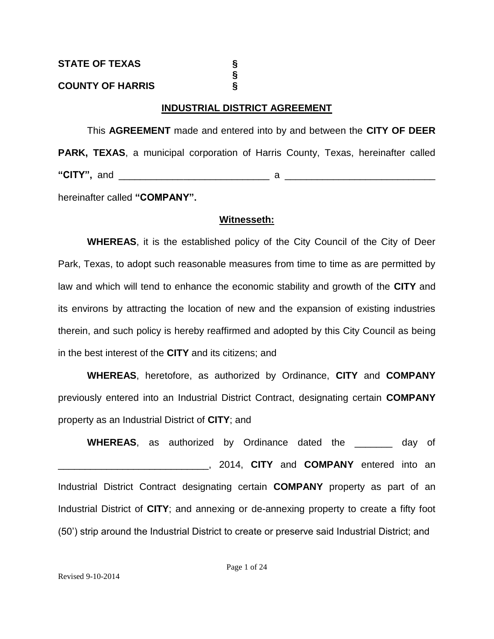# **COUNTY OF HARRIS §**

# **INDUSTRIAL DISTRICT AGREEMENT**

**§**

This **AGREEMENT** made and entered into by and between the **CITY OF DEER PARK, TEXAS**, a municipal corporation of Harris County, Texas, hereinafter called **"CITY",** and \_\_\_\_\_\_\_\_\_\_\_\_\_\_\_\_\_\_\_\_\_\_\_\_\_\_\_\_ a \_\_\_\_\_\_\_\_\_\_\_\_\_\_\_\_\_\_\_\_\_\_\_\_\_\_\_\_

hereinafter called **"COMPANY".**

# **Witnesseth:**

**WHEREAS**, it is the established policy of the City Council of the City of Deer Park, Texas, to adopt such reasonable measures from time to time as are permitted by law and which will tend to enhance the economic stability and growth of the **CITY** and its environs by attracting the location of new and the expansion of existing industries therein, and such policy is hereby reaffirmed and adopted by this City Council as being in the best interest of the **CITY** and its citizens; and

**WHEREAS**, heretofore, as authorized by Ordinance, **CITY** and **COMPANY**  previously entered into an Industrial District Contract, designating certain **COMPANY**  property as an Industrial District of **CITY**; and

**WHEREAS**, as authorized by Ordinance dated the \_\_\_\_\_\_\_ day of \_\_\_\_\_\_\_\_\_\_\_\_\_\_\_\_\_\_\_\_\_\_\_\_\_\_\_\_, 2014, **CITY** and **COMPANY** entered into an Industrial District Contract designating certain **COMPANY** property as part of an Industrial District of **CITY**; and annexing or de-annexing property to create a fifty foot (50') strip around the Industrial District to create or preserve said Industrial District; and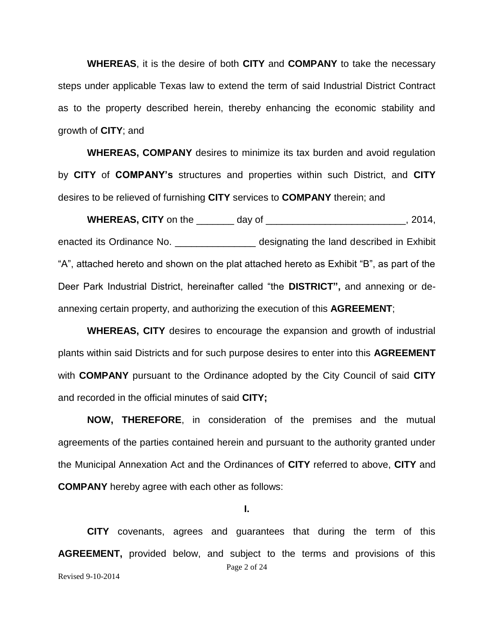**WHEREAS**, it is the desire of both **CITY** and **COMPANY** to take the necessary steps under applicable Texas law to extend the term of said Industrial District Contract as to the property described herein, thereby enhancing the economic stability and growth of **CITY**; and

**WHEREAS, COMPANY** desires to minimize its tax burden and avoid regulation by **CITY** of **COMPANY's** structures and properties within such District, and **CITY**  desires to be relieved of furnishing **CITY** services to **COMPANY** therein; and

**WHEREAS, CITY** on the \_\_\_\_\_\_\_ day of \_\_\_\_\_\_\_\_\_\_\_\_\_\_\_\_\_\_\_\_\_\_\_\_\_\_, 2014, enacted its Ordinance No. \_\_\_\_\_\_\_\_\_\_\_\_\_\_\_\_\_\_\_ designating the land described in Exhibit "A", attached hereto and shown on the plat attached hereto as Exhibit "B", as part of the Deer Park Industrial District, hereinafter called "the **DISTRICT",** and annexing or deannexing certain property, and authorizing the execution of this **AGREEMENT**;

**WHEREAS, CITY** desires to encourage the expansion and growth of industrial plants within said Districts and for such purpose desires to enter into this **AGREEMENT** with **COMPANY** pursuant to the Ordinance adopted by the City Council of said **CITY** and recorded in the official minutes of said **CITY;**

**NOW, THEREFORE**, in consideration of the premises and the mutual agreements of the parties contained herein and pursuant to the authority granted under the Municipal Annexation Act and the Ordinances of **CITY** referred to above, **CITY** and **COMPANY** hereby agree with each other as follows:

**I.**

Page 2 of 24 Revised 9-10-2014 **CITY** covenants, agrees and guarantees that during the term of this **AGREEMENT,** provided below, and subject to the terms and provisions of this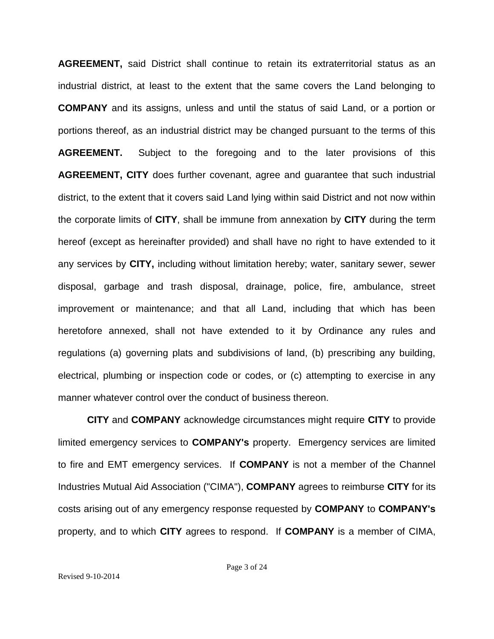**AGREEMENT,** said District shall continue to retain its extraterritorial status as an industrial district, at least to the extent that the same covers the Land belonging to **COMPANY** and its assigns, unless and until the status of said Land, or a portion or portions thereof, as an industrial district may be changed pursuant to the terms of this **AGREEMENT.** Subject to the foregoing and to the later provisions of this **AGREEMENT, CITY** does further covenant, agree and guarantee that such industrial district, to the extent that it covers said Land lying within said District and not now within the corporate limits of **CITY**, shall be immune from annexation by **CITY** during the term hereof (except as hereinafter provided) and shall have no right to have extended to it any services by **CITY,** including without limitation hereby; water, sanitary sewer, sewer disposal, garbage and trash disposal, drainage, police, fire, ambulance, street improvement or maintenance; and that all Land, including that which has been heretofore annexed, shall not have extended to it by Ordinance any rules and regulations (a) governing plats and subdivisions of land, (b) prescribing any building, electrical, plumbing or inspection code or codes, or (c) attempting to exercise in any manner whatever control over the conduct of business thereon.

**CITY** and **COMPANY** acknowledge circumstances might require **CITY** to provide limited emergency services to **COMPANY's** property. Emergency services are limited to fire and EMT emergency services. If **COMPANY** is not a member of the Channel Industries Mutual Aid Association ("CIMA"), **COMPANY** agrees to reimburse **CITY** for its costs arising out of any emergency response requested by **COMPANY** to **COMPANY's** property, and to which **CITY** agrees to respond. If **COMPANY** is a member of CIMA,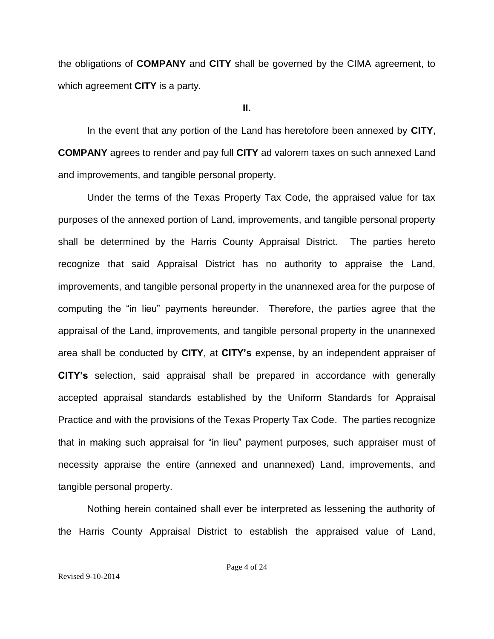the obligations of **COMPANY** and **CITY** shall be governed by the CIMA agreement, to which agreement **CITY** is a party.

**II.**

In the event that any portion of the Land has heretofore been annexed by **CITY**, **COMPANY** agrees to render and pay full **CITY** ad valorem taxes on such annexed Land and improvements, and tangible personal property.

Under the terms of the Texas Property Tax Code, the appraised value for tax purposes of the annexed portion of Land, improvements, and tangible personal property shall be determined by the Harris County Appraisal District. The parties hereto recognize that said Appraisal District has no authority to appraise the Land, improvements, and tangible personal property in the unannexed area for the purpose of computing the "in lieu" payments hereunder. Therefore, the parties agree that the appraisal of the Land, improvements, and tangible personal property in the unannexed area shall be conducted by **CITY**, at **CITY's** expense, by an independent appraiser of **CITY's** selection, said appraisal shall be prepared in accordance with generally accepted appraisal standards established by the Uniform Standards for Appraisal Practice and with the provisions of the Texas Property Tax Code. The parties recognize that in making such appraisal for "in lieu" payment purposes, such appraiser must of necessity appraise the entire (annexed and unannexed) Land, improvements, and tangible personal property.

Nothing herein contained shall ever be interpreted as lessening the authority of the Harris County Appraisal District to establish the appraised value of Land,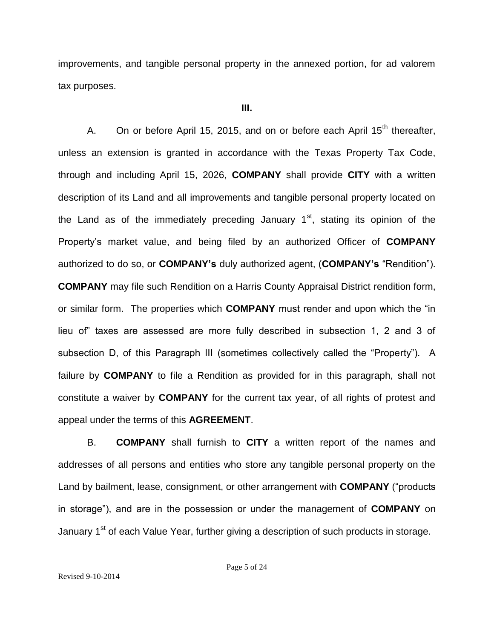improvements, and tangible personal property in the annexed portion, for ad valorem tax purposes.

## **III.**

A. On or before April 15, 2015, and on or before each April  $15<sup>th</sup>$  thereafter, unless an extension is granted in accordance with the Texas Property Tax Code, through and including April 15, 2026, **COMPANY** shall provide **CITY** with a written description of its Land and all improvements and tangible personal property located on the Land as of the immediately preceding January  $1<sup>st</sup>$ , stating its opinion of the Property's market value, and being filed by an authorized Officer of **COMPANY** authorized to do so, or **COMPANY's** duly authorized agent, (**COMPANY's** "Rendition"). **COMPANY** may file such Rendition on a Harris County Appraisal District rendition form, or similar form. The properties which **COMPANY** must render and upon which the "in lieu of" taxes are assessed are more fully described in subsection 1, 2 and 3 of subsection D, of this Paragraph III (sometimes collectively called the "Property"). A failure by **COMPANY** to file a Rendition as provided for in this paragraph, shall not constitute a waiver by **COMPANY** for the current tax year, of all rights of protest and appeal under the terms of this **AGREEMENT**.

B. **COMPANY** shall furnish to **CITY** a written report of the names and addresses of all persons and entities who store any tangible personal property on the Land by bailment, lease, consignment, or other arrangement with **COMPANY** ("products in storage"), and are in the possession or under the management of **COMPANY** on January 1<sup>st</sup> of each Value Year, further giving a description of such products in storage.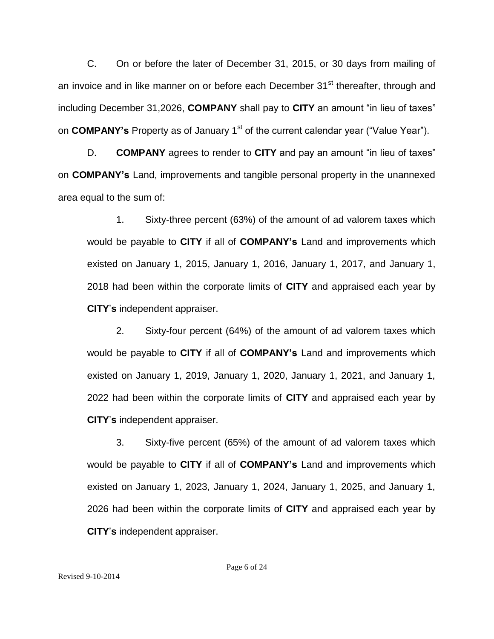C. On or before the later of December 31, 2015, or 30 days from mailing of an invoice and in like manner on or before each December 31<sup>st</sup> thereafter, through and including December 31,2026, **COMPANY** shall pay to **CITY** an amount "in lieu of taxes" on **COMPANY's** Property as of January 1<sup>st</sup> of the current calendar year ("Value Year").

D. **COMPANY** agrees to render to **CITY** and pay an amount "in lieu of taxes" on **COMPANY's** Land, improvements and tangible personal property in the unannexed area equal to the sum of:

1. Sixty-three percent (63%) of the amount of ad valorem taxes which would be payable to **CITY** if all of **COMPANY's** Land and improvements which existed on January 1, 2015, January 1, 2016, January 1, 2017, and January 1, 2018 had been within the corporate limits of **CITY** and appraised each year by **CITY**'**s** independent appraiser.

2. Sixty-four percent (64%) of the amount of ad valorem taxes which would be payable to **CITY** if all of **COMPANY's** Land and improvements which existed on January 1, 2019, January 1, 2020, January 1, 2021, and January 1, 2022 had been within the corporate limits of **CITY** and appraised each year by **CITY**'**s** independent appraiser.

3. Sixty-five percent (65%) of the amount of ad valorem taxes which would be payable to **CITY** if all of **COMPANY's** Land and improvements which existed on January 1, 2023, January 1, 2024, January 1, 2025, and January 1, 2026 had been within the corporate limits of **CITY** and appraised each year by **CITY**'**s** independent appraiser.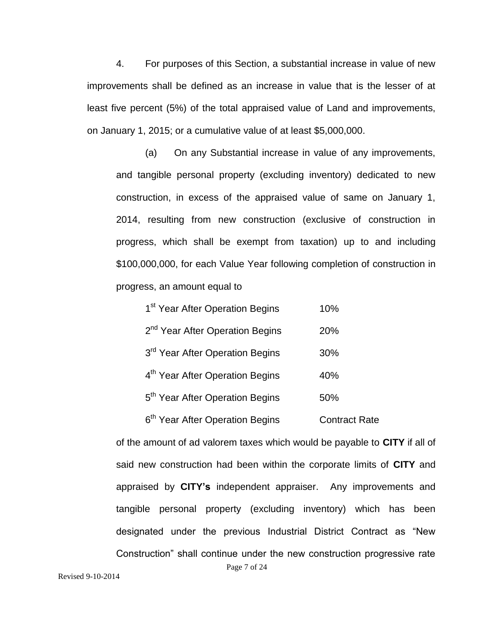4. For purposes of this Section, a substantial increase in value of new improvements shall be defined as an increase in value that is the lesser of at least five percent (5%) of the total appraised value of Land and improvements, on January 1, 2015; or a cumulative value of at least \$5,000,000.

(a) On any Substantial increase in value of any improvements, and tangible personal property (excluding inventory) dedicated to new construction, in excess of the appraised value of same on January 1, 2014, resulting from new construction (exclusive of construction in progress, which shall be exempt from taxation) up to and including \$100,000,000, for each Value Year following completion of construction in progress, an amount equal to

| 1 <sup>st</sup> Year After Operation Begins | 10%                  |
|---------------------------------------------|----------------------|
| 2 <sup>nd</sup> Year After Operation Begins | 20%                  |
| 3 <sup>rd</sup> Year After Operation Begins | 30%                  |
| 4 <sup>th</sup> Year After Operation Begins | 40%                  |
| 5 <sup>th</sup> Year After Operation Begins | 50%                  |
| 6 <sup>th</sup> Year After Operation Begins | <b>Contract Rate</b> |

Page 7 of 24 of the amount of ad valorem taxes which would be payable to **CITY** if all of said new construction had been within the corporate limits of **CITY** and appraised by **CITY's** independent appraiser. Any improvements and tangible personal property (excluding inventory) which has been designated under the previous Industrial District Contract as "New Construction" shall continue under the new construction progressive rate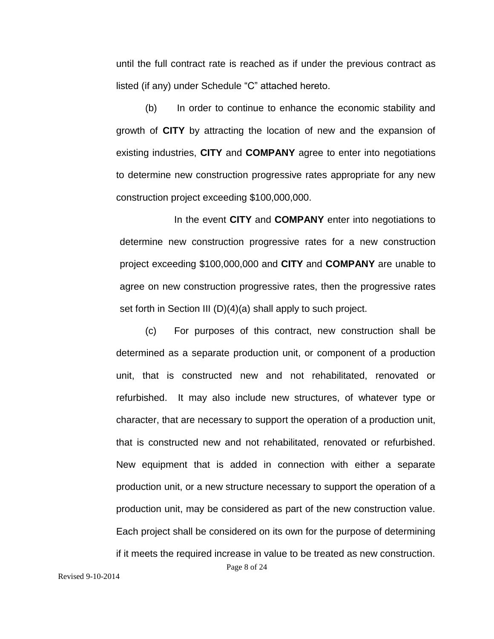until the full contract rate is reached as if under the previous contract as listed (if any) under Schedule "C" attached hereto.

(b) In order to continue to enhance the economic stability and growth of **CITY** by attracting the location of new and the expansion of existing industries, **CITY** and **COMPANY** agree to enter into negotiations to determine new construction progressive rates appropriate for any new construction project exceeding \$100,000,000.

In the event **CITY** and **COMPANY** enter into negotiations to determine new construction progressive rates for a new construction project exceeding \$100,000,000 and **CITY** and **COMPANY** are unable to agree on new construction progressive rates, then the progressive rates set forth in Section III (D)(4)(a) shall apply to such project.

(c) For purposes of this contract, new construction shall be determined as a separate production unit, or component of a production unit, that is constructed new and not rehabilitated, renovated or refurbished. It may also include new structures, of whatever type or character, that are necessary to support the operation of a production unit, that is constructed new and not rehabilitated, renovated or refurbished. New equipment that is added in connection with either a separate production unit, or a new structure necessary to support the operation of a production unit, may be considered as part of the new construction value. Each project shall be considered on its own for the purpose of determining if it meets the required increase in value to be treated as new construction.

Page 8 of 24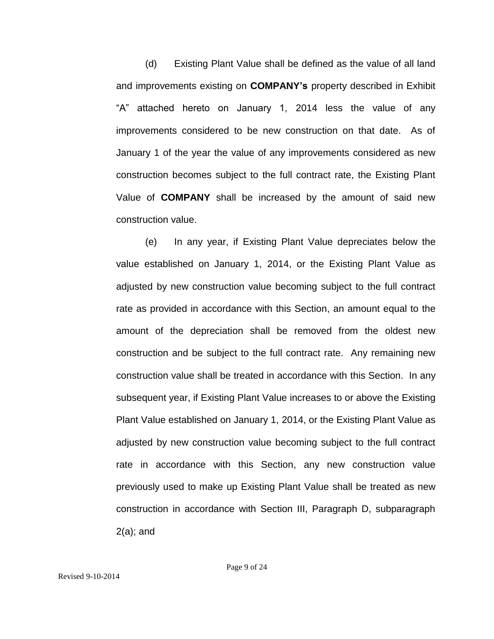(d) Existing Plant Value shall be defined as the value of all land and improvements existing on **COMPANY's** property described in Exhibit "A" attached hereto on January 1, 2014 less the value of any improvements considered to be new construction on that date. As of January 1 of the year the value of any improvements considered as new construction becomes subject to the full contract rate, the Existing Plant Value of **COMPANY** shall be increased by the amount of said new construction value.

(e) In any year, if Existing Plant Value depreciates below the value established on January 1, 2014, or the Existing Plant Value as adjusted by new construction value becoming subject to the full contract rate as provided in accordance with this Section, an amount equal to the amount of the depreciation shall be removed from the oldest new construction and be subject to the full contract rate. Any remaining new construction value shall be treated in accordance with this Section. In any subsequent year, if Existing Plant Value increases to or above the Existing Plant Value established on January 1, 2014, or the Existing Plant Value as adjusted by new construction value becoming subject to the full contract rate in accordance with this Section, any new construction value previously used to make up Existing Plant Value shall be treated as new construction in accordance with Section III, Paragraph D, subparagraph 2(a); and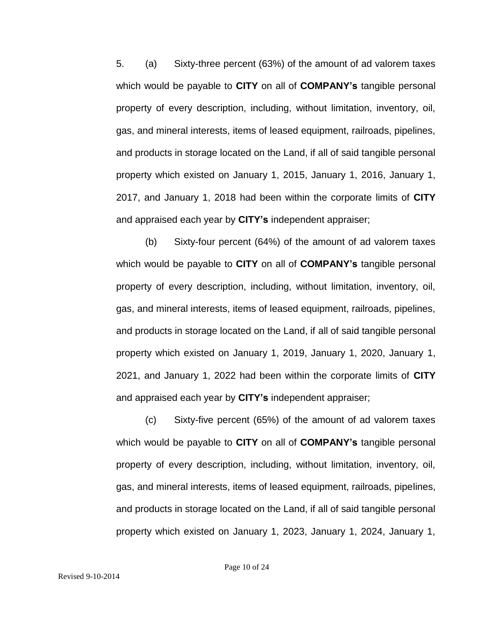5. (a) Sixty-three percent (63%) of the amount of ad valorem taxes which would be payable to **CITY** on all of **COMPANY's** tangible personal property of every description, including, without limitation, inventory, oil, gas, and mineral interests, items of leased equipment, railroads, pipelines, and products in storage located on the Land, if all of said tangible personal property which existed on January 1, 2015, January 1, 2016, January 1, 2017, and January 1, 2018 had been within the corporate limits of **CITY** and appraised each year by **CITY's** independent appraiser;

(b) Sixty-four percent (64%) of the amount of ad valorem taxes which would be payable to **CITY** on all of **COMPANY's** tangible personal property of every description, including, without limitation, inventory, oil, gas, and mineral interests, items of leased equipment, railroads, pipelines, and products in storage located on the Land, if all of said tangible personal property which existed on January 1, 2019, January 1, 2020, January 1, 2021, and January 1, 2022 had been within the corporate limits of **CITY** and appraised each year by **CITY's** independent appraiser;

(c) Sixty-five percent (65%) of the amount of ad valorem taxes which would be payable to **CITY** on all of **COMPANY's** tangible personal property of every description, including, without limitation, inventory, oil, gas, and mineral interests, items of leased equipment, railroads, pipelines, and products in storage located on the Land, if all of said tangible personal property which existed on January 1, 2023, January 1, 2024, January 1,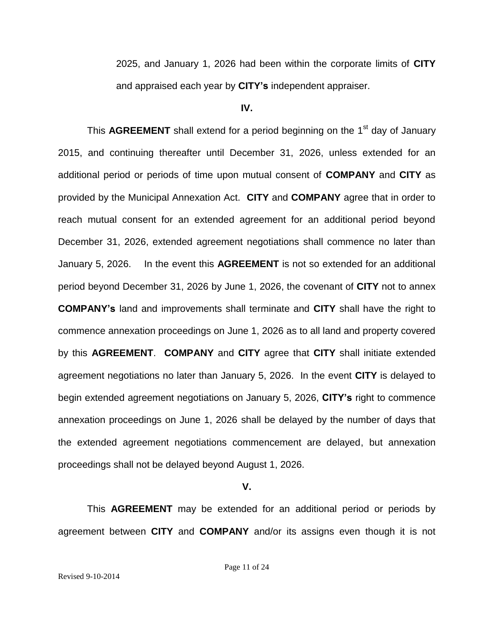2025, and January 1, 2026 had been within the corporate limits of **CITY** and appraised each year by **CITY's** independent appraiser.

**IV.**

This **AGREEMENT** shall extend for a period beginning on the 1<sup>st</sup> day of January 2015, and continuing thereafter until December 31, 2026, unless extended for an additional period or periods of time upon mutual consent of **COMPANY** and **CITY** as provided by the Municipal Annexation Act. **CITY** and **COMPANY** agree that in order to reach mutual consent for an extended agreement for an additional period beyond December 31, 2026, extended agreement negotiations shall commence no later than January 5, 2026. In the event this **AGREEMENT** is not so extended for an additional period beyond December 31, 2026 by June 1, 2026, the covenant of **CITY** not to annex **COMPANY's** land and improvements shall terminate and **CITY** shall have the right to commence annexation proceedings on June 1, 2026 as to all land and property covered by this **AGREEMENT**. **COMPANY** and **CITY** agree that **CITY** shall initiate extended agreement negotiations no later than January 5, 2026. In the event **CITY** is delayed to begin extended agreement negotiations on January 5, 2026, **CITY's** right to commence annexation proceedings on June 1, 2026 shall be delayed by the number of days that the extended agreement negotiations commencement are delayed, but annexation proceedings shall not be delayed beyond August 1, 2026.

**V.**

This **AGREEMENT** may be extended for an additional period or periods by agreement between **CITY** and **COMPANY** and/or its assigns even though it is not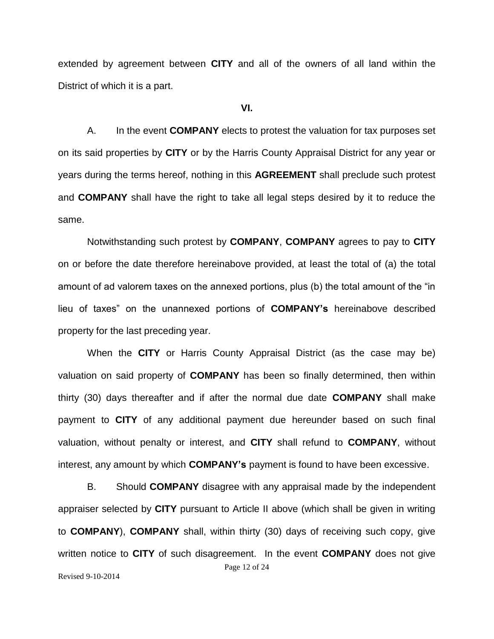extended by agreement between **CITY** and all of the owners of all land within the District of which it is a part.

## **VI.**

A. In the event **COMPANY** elects to protest the valuation for tax purposes set on its said properties by **CITY** or by the Harris County Appraisal District for any year or years during the terms hereof, nothing in this **AGREEMENT** shall preclude such protest and **COMPANY** shall have the right to take all legal steps desired by it to reduce the same.

Notwithstanding such protest by **COMPANY**, **COMPANY** agrees to pay to **CITY** on or before the date therefore hereinabove provided, at least the total of (a) the total amount of ad valorem taxes on the annexed portions, plus (b) the total amount of the "in lieu of taxes" on the unannexed portions of **COMPANY's** hereinabove described property for the last preceding year.

When the **CITY** or Harris County Appraisal District (as the case may be) valuation on said property of **COMPANY** has been so finally determined, then within thirty (30) days thereafter and if after the normal due date **COMPANY** shall make payment to **CITY** of any additional payment due hereunder based on such final valuation, without penalty or interest, and **CITY** shall refund to **COMPANY**, without interest, any amount by which **COMPANY's** payment is found to have been excessive.

Page 12 of 24 Revised 9-10-2014 B. Should **COMPANY** disagree with any appraisal made by the independent appraiser selected by **CITY** pursuant to Article II above (which shall be given in writing to **COMPANY**), **COMPANY** shall, within thirty (30) days of receiving such copy, give written notice to **CITY** of such disagreement. In the event **COMPANY** does not give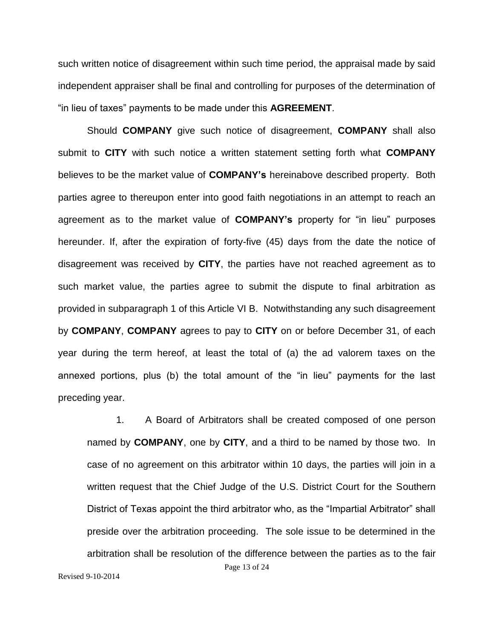such written notice of disagreement within such time period, the appraisal made by said independent appraiser shall be final and controlling for purposes of the determination of "in lieu of taxes" payments to be made under this **AGREEMENT**.

Should **COMPANY** give such notice of disagreement, **COMPANY** shall also submit to **CITY** with such notice a written statement setting forth what **COMPANY** believes to be the market value of **COMPANY's** hereinabove described property. Both parties agree to thereupon enter into good faith negotiations in an attempt to reach an agreement as to the market value of **COMPANY's** property for "in lieu" purposes hereunder. If, after the expiration of forty-five (45) days from the date the notice of disagreement was received by **CITY**, the parties have not reached agreement as to such market value, the parties agree to submit the dispute to final arbitration as provided in subparagraph 1 of this Article VI B. Notwithstanding any such disagreement by **COMPANY**, **COMPANY** agrees to pay to **CITY** on or before December 31, of each year during the term hereof, at least the total of (a) the ad valorem taxes on the annexed portions, plus (b) the total amount of the "in lieu" payments for the last preceding year.

Page 13 of 24 1. A Board of Arbitrators shall be created composed of one person named by **COMPANY**, one by **CITY**, and a third to be named by those two. In case of no agreement on this arbitrator within 10 days, the parties will join in a written request that the Chief Judge of the U.S. District Court for the Southern District of Texas appoint the third arbitrator who, as the "Impartial Arbitrator" shall preside over the arbitration proceeding. The sole issue to be determined in the arbitration shall be resolution of the difference between the parties as to the fair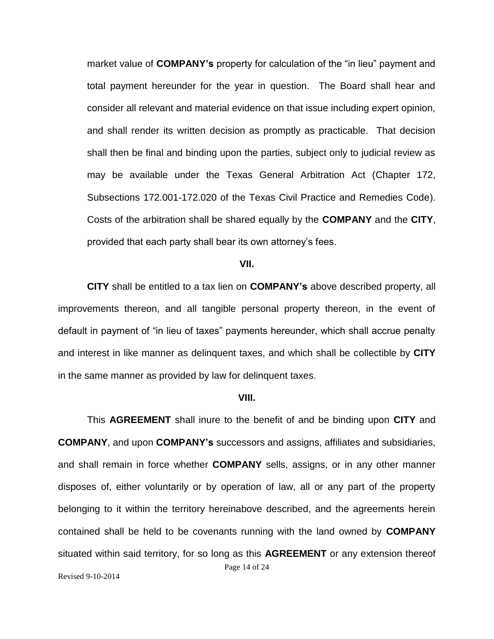market value of **COMPANY's** property for calculation of the "in lieu" payment and total payment hereunder for the year in question. The Board shall hear and consider all relevant and material evidence on that issue including expert opinion, and shall render its written decision as promptly as practicable. That decision shall then be final and binding upon the parties, subject only to judicial review as may be available under the Texas General Arbitration Act (Chapter 172, Subsections 172.001-172.020 of the Texas Civil Practice and Remedies Code). Costs of the arbitration shall be shared equally by the **COMPANY** and the **CITY**, provided that each party shall bear its own attorney's fees.

#### **VII.**

**CITY** shall be entitled to a tax lien on **COMPANY's** above described property, all improvements thereon, and all tangible personal property thereon, in the event of default in payment of "in lieu of taxes" payments hereunder, which shall accrue penalty and interest in like manner as delinquent taxes, and which shall be collectible by **CITY** in the same manner as provided by law for delinquent taxes.

#### **VIII.**

Page 14 of 24 This **AGREEMENT** shall inure to the benefit of and be binding upon **CITY** and **COMPANY**, and upon **COMPANY's** successors and assigns, affiliates and subsidiaries, and shall remain in force whether **COMPANY** sells, assigns, or in any other manner disposes of, either voluntarily or by operation of law, all or any part of the property belonging to it within the territory hereinabove described, and the agreements herein contained shall be held to be covenants running with the land owned by **COMPANY** situated within said territory, for so long as this **AGREEMENT** or any extension thereof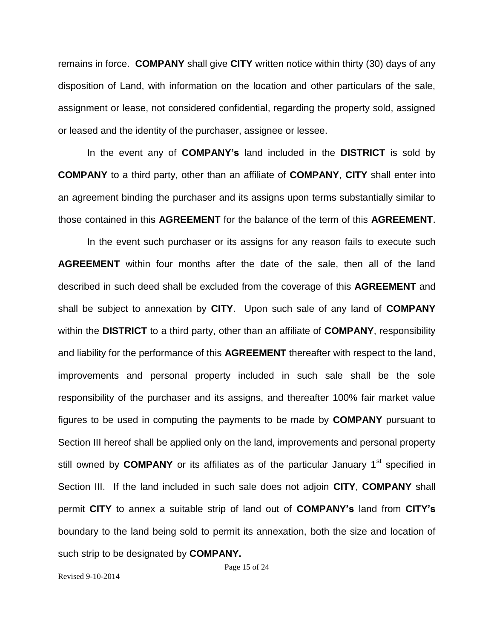remains in force. **COMPANY** shall give **CITY** written notice within thirty (30) days of any disposition of Land, with information on the location and other particulars of the sale, assignment or lease, not considered confidential, regarding the property sold, assigned or leased and the identity of the purchaser, assignee or lessee.

In the event any of **COMPANY's** land included in the **DISTRICT** is sold by **COMPANY** to a third party, other than an affiliate of **COMPANY**, **CITY** shall enter into an agreement binding the purchaser and its assigns upon terms substantially similar to those contained in this **AGREEMENT** for the balance of the term of this **AGREEMENT**.

In the event such purchaser or its assigns for any reason fails to execute such **AGREEMENT** within four months after the date of the sale, then all of the land described in such deed shall be excluded from the coverage of this **AGREEMENT** and shall be subject to annexation by **CITY**. Upon such sale of any land of **COMPANY** within the **DISTRICT** to a third party, other than an affiliate of **COMPANY**, responsibility and liability for the performance of this **AGREEMENT** thereafter with respect to the land, improvements and personal property included in such sale shall be the sole responsibility of the purchaser and its assigns, and thereafter 100% fair market value figures to be used in computing the payments to be made by **COMPANY** pursuant to Section III hereof shall be applied only on the land, improvements and personal property still owned by **COMPANY** or its affiliates as of the particular January 1<sup>st</sup> specified in Section III. If the land included in such sale does not adjoin **CITY**, **COMPANY** shall permit **CITY** to annex a suitable strip of land out of **COMPANY's** land from **CITY's** boundary to the land being sold to permit its annexation, both the size and location of such strip to be designated by **COMPANY.**

Page 15 of 24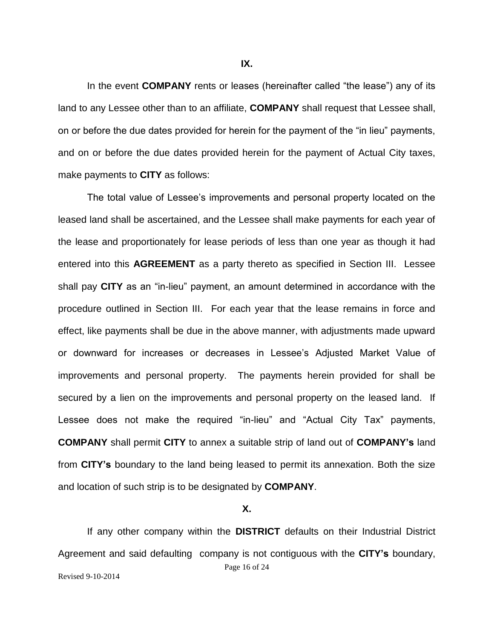In the event **COMPANY** rents or leases (hereinafter called "the lease") any of its land to any Lessee other than to an affiliate, **COMPANY** shall request that Lessee shall, on or before the due dates provided for herein for the payment of the "in lieu" payments, and on or before the due dates provided herein for the payment of Actual City taxes, make payments to **CITY** as follows:

The total value of Lessee's improvements and personal property located on the leased land shall be ascertained, and the Lessee shall make payments for each year of the lease and proportionately for lease periods of less than one year as though it had entered into this **AGREEMENT** as a party thereto as specified in Section III. Lessee shall pay **CITY** as an "in-lieu" payment, an amount determined in accordance with the procedure outlined in Section III. For each year that the lease remains in force and effect, like payments shall be due in the above manner, with adjustments made upward or downward for increases or decreases in Lessee's Adjusted Market Value of improvements and personal property. The payments herein provided for shall be secured by a lien on the improvements and personal property on the leased land. If Lessee does not make the required "in-lieu" and "Actual City Tax" payments, **COMPANY** shall permit **CITY** to annex a suitable strip of land out of **COMPANY's** land from **CITY's** boundary to the land being leased to permit its annexation. Both the size and location of such strip is to be designated by **COMPANY**.

**X.**

Page 16 of 24 Revised 9-10-2014 If any other company within the **DISTRICT** defaults on their Industrial District Agreement and said defaulting company is not contiguous with the **CITY's** boundary,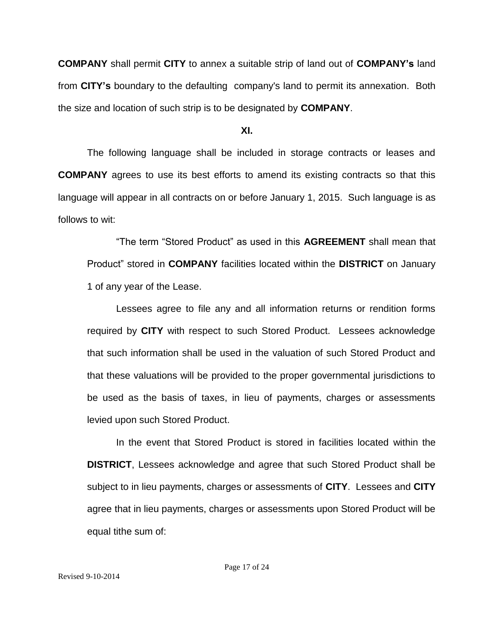**COMPANY** shall permit **CITY** to annex a suitable strip of land out of **COMPANY's** land from **CITY's** boundary to the defaulting company's land to permit its annexation. Both the size and location of such strip is to be designated by **COMPANY**.

#### **XI.**

The following language shall be included in storage contracts or leases and **COMPANY** agrees to use its best efforts to amend its existing contracts so that this language will appear in all contracts on or before January 1, 2015. Such language is as follows to wit:

"The term "Stored Product" as used in this **AGREEMENT** shall mean that Product" stored in **COMPANY** facilities located within the **DISTRICT** on January 1 of any year of the Lease.

Lessees agree to file any and all information returns or rendition forms required by **CITY** with respect to such Stored Product. Lessees acknowledge that such information shall be used in the valuation of such Stored Product and that these valuations will be provided to the proper governmental jurisdictions to be used as the basis of taxes, in lieu of payments, charges or assessments levied upon such Stored Product.

In the event that Stored Product is stored in facilities located within the **DISTRICT**, Lessees acknowledge and agree that such Stored Product shall be subject to in lieu payments, charges or assessments of **CITY**. Lessees and **CITY** agree that in lieu payments, charges or assessments upon Stored Product will be equal tithe sum of: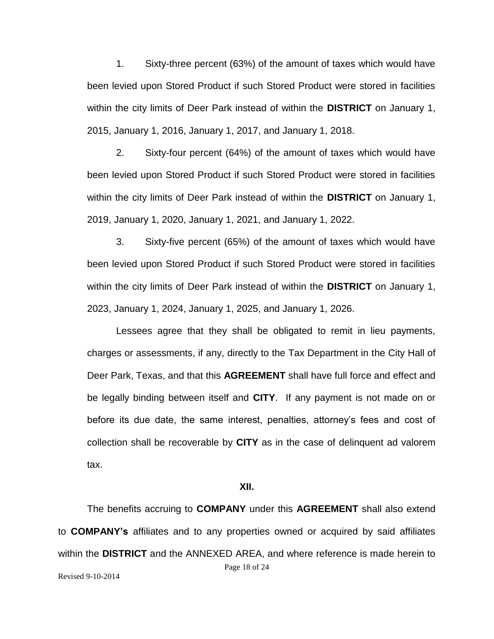1. Sixty-three percent (63%) of the amount of taxes which would have been levied upon Stored Product if such Stored Product were stored in facilities within the city limits of Deer Park instead of within the **DISTRICT** on January 1, 2015, January 1, 2016, January 1, 2017, and January 1, 2018.

2. Sixty-four percent (64%) of the amount of taxes which would have been levied upon Stored Product if such Stored Product were stored in facilities within the city limits of Deer Park instead of within the **DISTRICT** on January 1, 2019, January 1, 2020, January 1, 2021, and January 1, 2022.

3. Sixty-five percent (65%) of the amount of taxes which would have been levied upon Stored Product if such Stored Product were stored in facilities within the city limits of Deer Park instead of within the **DISTRICT** on January 1, 2023, January 1, 2024, January 1, 2025, and January 1, 2026.

Lessees agree that they shall be obligated to remit in lieu payments, charges or assessments, if any, directly to the Tax Department in the City Hall of Deer Park, Texas, and that this **AGREEMENT** shall have full force and effect and be legally binding between itself and **CITY**. If any payment is not made on or before its due date, the same interest, penalties, attorney's fees and cost of collection shall be recoverable by **CITY** as in the case of delinquent ad valorem tax.

### **XII.**

Page 18 of 24 Revised 9-10-2014 The benefits accruing to **COMPANY** under this **AGREEMENT** shall also extend to **COMPANY's** affiliates and to any properties owned or acquired by said affiliates within the **DISTRICT** and the ANNEXED AREA, and where reference is made herein to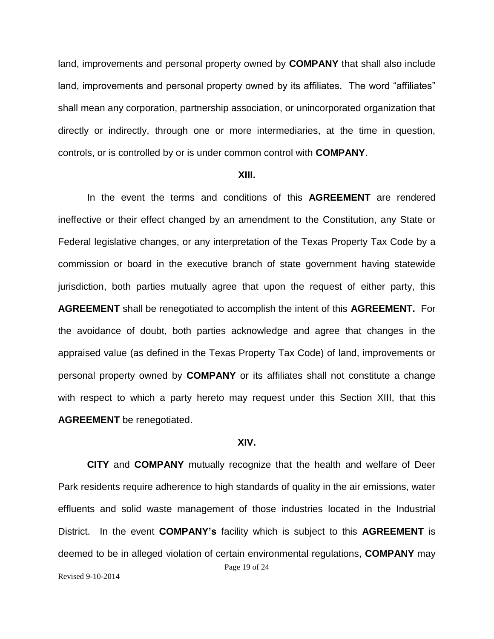land, improvements and personal property owned by **COMPANY** that shall also include land, improvements and personal property owned by its affiliates. The word "affiliates" shall mean any corporation, partnership association, or unincorporated organization that directly or indirectly, through one or more intermediaries, at the time in question, controls, or is controlled by or is under common control with **COMPANY**.

#### **XIII.**

In the event the terms and conditions of this **AGREEMENT** are rendered ineffective or their effect changed by an amendment to the Constitution, any State or Federal legislative changes, or any interpretation of the Texas Property Tax Code by a commission or board in the executive branch of state government having statewide jurisdiction, both parties mutually agree that upon the request of either party, this **AGREEMENT** shall be renegotiated to accomplish the intent of this **AGREEMENT.** For the avoidance of doubt, both parties acknowledge and agree that changes in the appraised value (as defined in the Texas Property Tax Code) of land, improvements or personal property owned by **COMPANY** or its affiliates shall not constitute a change with respect to which a party hereto may request under this Section XIII, that this **AGREEMENT** be renegotiated.

#### **XIV.**

Page 19 of 24 Revised 9-10-2014 **CITY** and **COMPANY** mutually recognize that the health and welfare of Deer Park residents require adherence to high standards of quality in the air emissions, water effluents and solid waste management of those industries located in the Industrial District. In the event **COMPANY's** facility which is subject to this **AGREEMENT** is deemed to be in alleged violation of certain environmental regulations, **COMPANY** may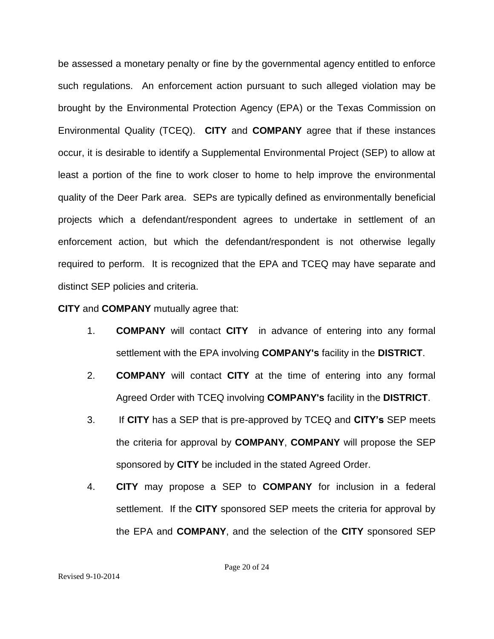be assessed a monetary penalty or fine by the governmental agency entitled to enforce such regulations. An enforcement action pursuant to such alleged violation may be brought by the Environmental Protection Agency (EPA) or the Texas Commission on Environmental Quality (TCEQ). **CITY** and **COMPANY** agree that if these instances occur, it is desirable to identify a Supplemental Environmental Project (SEP) to allow at least a portion of the fine to work closer to home to help improve the environmental quality of the Deer Park area. SEPs are typically defined as environmentally beneficial projects which a defendant/respondent agrees to undertake in settlement of an enforcement action, but which the defendant/respondent is not otherwise legally required to perform. It is recognized that the EPA and TCEQ may have separate and distinct SEP policies and criteria.

**CITY** and **COMPANY** mutually agree that:

- 1. **COMPANY** will contact **CITY** in advance of entering into any formal settlement with the EPA involving **COMPANY's** facility in the **DISTRICT**.
- 2. **COMPANY** will contact **CITY** at the time of entering into any formal Agreed Order with TCEQ involving **COMPANY's** facility in the **DISTRICT**.
- 3. If **CITY** has a SEP that is pre-approved by TCEQ and **CITY's** SEP meets the criteria for approval by **COMPANY**, **COMPANY** will propose the SEP sponsored by **CITY** be included in the stated Agreed Order.
- 4. **CITY** may propose a SEP to **COMPANY** for inclusion in a federal settlement. If the **CITY** sponsored SEP meets the criteria for approval by the EPA and **COMPANY**, and the selection of the **CITY** sponsored SEP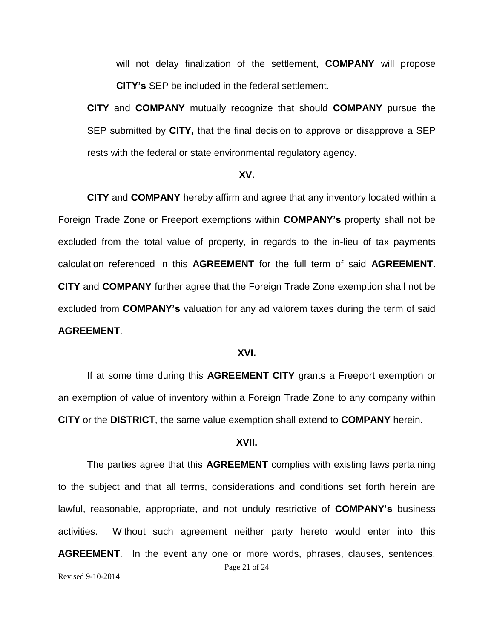will not delay finalization of the settlement, **COMPANY** will propose **CITY's** SEP be included in the federal settlement.

**CITY** and **COMPANY** mutually recognize that should **COMPANY** pursue the SEP submitted by **CITY,** that the final decision to approve or disapprove a SEP rests with the federal or state environmental regulatory agency.

## **XV.**

**CITY** and **COMPANY** hereby affirm and agree that any inventory located within a Foreign Trade Zone or Freeport exemptions within **COMPANY's** property shall not be excluded from the total value of property, in regards to the in-lieu of tax payments calculation referenced in this **AGREEMENT** for the full term of said **AGREEMENT**. **CITY** and **COMPANY** further agree that the Foreign Trade Zone exemption shall not be excluded from **COMPANY's** valuation for any ad valorem taxes during the term of said **AGREEMENT**.

## **XVI.**

If at some time during this **AGREEMENT CITY** grants a Freeport exemption or an exemption of value of inventory within a Foreign Trade Zone to any company within **CITY** or the **DISTRICT**, the same value exemption shall extend to **COMPANY** herein.

## **XVII.**

Page 21 of 24 Revised 9-10-2014 The parties agree that this **AGREEMENT** complies with existing laws pertaining to the subject and that all terms, considerations and conditions set forth herein are lawful, reasonable, appropriate, and not unduly restrictive of **COMPANY's** business activities. Without such agreement neither party hereto would enter into this **AGREEMENT**. In the event any one or more words, phrases, clauses, sentences,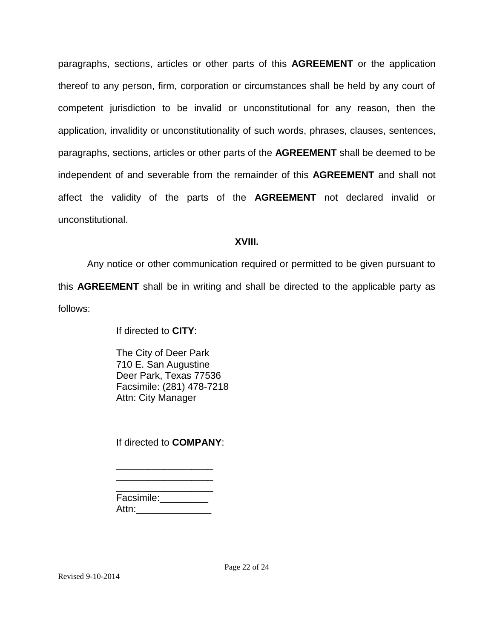paragraphs, sections, articles or other parts of this **AGREEMENT** or the application thereof to any person, firm, corporation or circumstances shall be held by any court of competent jurisdiction to be invalid or unconstitutional for any reason, then the application, invalidity or unconstitutionality of such words, phrases, clauses, sentences, paragraphs, sections, articles or other parts of the **AGREEMENT** shall be deemed to be independent of and severable from the remainder of this **AGREEMENT** and shall not affect the validity of the parts of the **AGREEMENT** not declared invalid or unconstitutional.

# **XVIII.**

Any notice or other communication required or permitted to be given pursuant to this **AGREEMENT** shall be in writing and shall be directed to the applicable party as follows:

If directed to **CITY**:

The City of Deer Park 710 E. San Augustine Deer Park, Texas 77536 Facsimile: (281) 478-7218 Attn: City Manager

If directed to **COMPANY**:

| Facsimile: |  |
|------------|--|
| Attn:      |  |

\_\_\_\_\_\_\_\_\_\_\_\_\_\_\_\_\_\_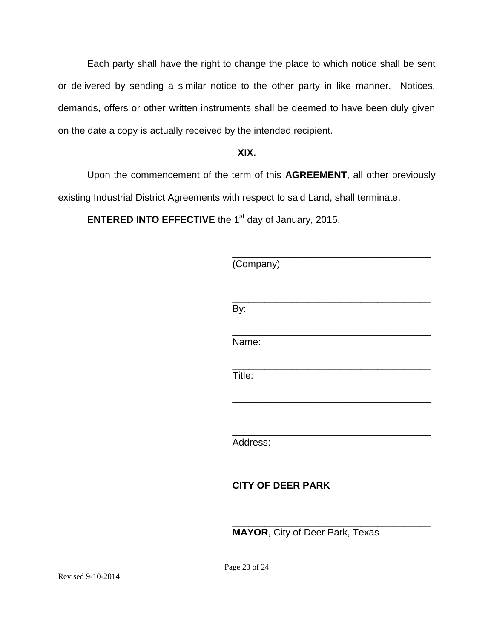Each party shall have the right to change the place to which notice shall be sent or delivered by sending a similar notice to the other party in like manner. Notices, demands, offers or other written instruments shall be deemed to have been duly given on the date a copy is actually received by the intended recipient.

# **XIX.**

Upon the commencement of the term of this **AGREEMENT**, all other previously existing Industrial District Agreements with respect to said Land, shall terminate.

**ENTERED INTO EFFECTIVE** the 1<sup>st</sup> day of January, 2015.

| (Company)                |  |  |
|--------------------------|--|--|
| By:                      |  |  |
| Name:                    |  |  |
| Title:                   |  |  |
|                          |  |  |
| Address:                 |  |  |
| <b>CITY OF DEER PARK</b> |  |  |

**MAYOR**, City of Deer Park, Texas

\_\_\_\_\_\_\_\_\_\_\_\_\_\_\_\_\_\_\_\_\_\_\_\_\_\_\_\_\_\_\_\_\_\_\_\_\_